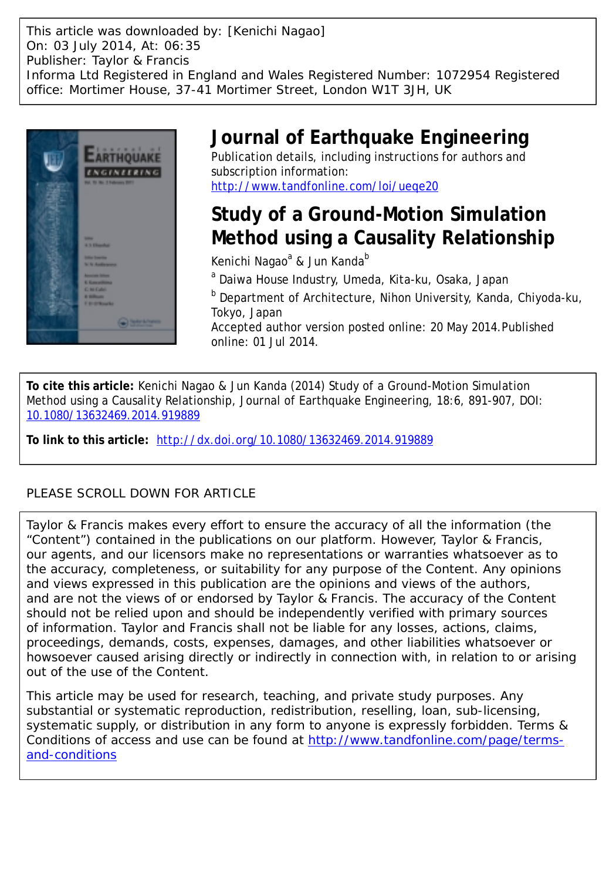This article was downloaded by: [Kenichi Nagao] On: 03 July 2014, At: 06:35 Publisher: Taylor & Francis Informa Ltd Registered in England and Wales Registered Number: 1072954 Registered office: Mortimer House, 37-41 Mortimer Street, London W1T 3JH, UK



## **Journal of Earthquake Engineering**

Publication details, including instructions for authors and subscription information: <http://www.tandfonline.com/loi/ueqe20>

# **Study of a Ground-Motion Simulation Method using a Causality Relationship**

Kenichi Nagao<sup>a</sup> & Jun Kanda<sup>b</sup>

<sup>a</sup> Daiwa House Industry, Umeda, Kita-ku, Osaka, Japan

<sup>b</sup> Department of Architecture, Nihon University, Kanda, Chiyoda-ku, Tokyo, Japan

Accepted author version posted online: 20 May 2014.Published online: 01 Jul 2014.

**To cite this article:** Kenichi Nagao & Jun Kanda (2014) Study of a Ground-Motion Simulation Method using a Causality Relationship, Journal of Earthquake Engineering, 18:6, 891-907, DOI: [10.1080/13632469.2014.919889](http://www.tandfonline.com/action/showCitFormats?doi=10.1080/13632469.2014.919889)

**To link to this article:** <http://dx.doi.org/10.1080/13632469.2014.919889>

### PLEASE SCROLL DOWN FOR ARTICLE

Taylor & Francis makes every effort to ensure the accuracy of all the information (the "Content") contained in the publications on our platform. However, Taylor & Francis, our agents, and our licensors make no representations or warranties whatsoever as to the accuracy, completeness, or suitability for any purpose of the Content. Any opinions and views expressed in this publication are the opinions and views of the authors, and are not the views of or endorsed by Taylor & Francis. The accuracy of the Content should not be relied upon and should be independently verified with primary sources of information. Taylor and Francis shall not be liable for any losses, actions, claims, proceedings, demands, costs, expenses, damages, and other liabilities whatsoever or howsoever caused arising directly or indirectly in connection with, in relation to or arising out of the use of the Content.

This article may be used for research, teaching, and private study purposes. Any substantial or systematic reproduction, redistribution, reselling, loan, sub-licensing, systematic supply, or distribution in any form to anyone is expressly forbidden. Terms & Conditions of access and use can be found at [http://www.tandfonline.com/page/terms](http://www.tandfonline.com/page/terms-and-conditions)[and-conditions](http://www.tandfonline.com/page/terms-and-conditions)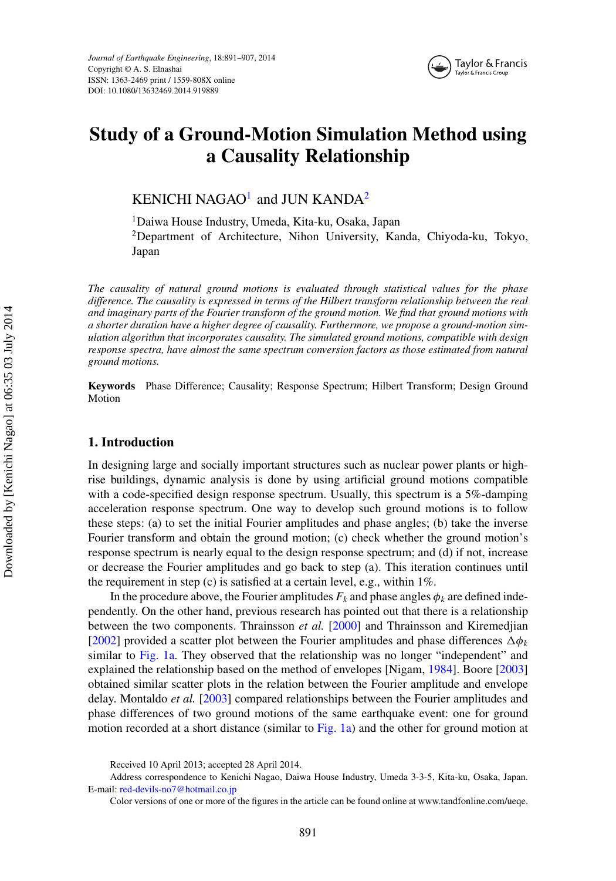

### **Study of a Ground-Motion Simulation Method using a Causality Relationship**

<span id="page-1-0"></span>KENICHI NAGAO<sup>[1](#page-1-0)</sup> and JUN KANDA<sup>[2](#page-1-0)</sup>

1Daiwa House Industry, Umeda, Kita-ku, Osaka, Japan

2Department of Architecture, Nihon University, Kanda, Chiyoda-ku, Tokyo, Japan

*The causality of natural ground motions is evaluated through statistical values for the phase difference. The causality is expressed in terms of the Hilbert transform relationship between the real and imaginary parts of the Fourier transform of the ground motion. We find that ground motions with a shorter duration have a higher degree of causality. Furthermore, we propose a ground-motion simulation algorithm that incorporates causality. The simulated ground motions, compatible with design response spectra, have almost the same spectrum conversion factors as those estimated from natural ground motions.*

**Keywords** Phase Difference; Causality; Response Spectrum; Hilbert Transform; Design Ground Motion

#### **1. Introduction**

In designing large and socially important structures such as nuclear power plants or highrise buildings, dynamic analysis is done by using artificial ground motions compatible with a code-specified design response spectrum. Usually, this spectrum is a 5%-damping acceleration response spectrum. One way to develop such ground motions is to follow these steps: (a) to set the initial Fourier amplitudes and phase angles; (b) take the inverse Fourier transform and obtain the ground motion; (c) check whether the ground motion's response spectrum is nearly equal to the design response spectrum; and (d) if not, increase or decrease the Fourier amplitudes and go back to step (a). This iteration continues until the requirement in step (c) is satisfied at a certain level, e.g., within 1%.

In the procedure above, the Fourier amplitudes  $F_k$  and phase angles  $\phi_k$  are defined independently. On the other hand, previous research has pointed out that there is a relationship between the two components. Thrainsson *et al.* [\[2000\]](#page-17-0) and Thrainsson and Kiremedjian [\[2002\]](#page-17-1) provided a scatter plot between the Fourier amplitudes and phase differences  $\Delta \phi_k$ similar to [Fig. 1a.](#page-2-0) They observed that the relationship was no longer "independent" and explained the relationship based on the method of envelopes [Nigam, [1984\]](#page-17-2). Boore [\[2003\]](#page-17-3) obtained similar scatter plots in the relation between the Fourier amplitude and envelope delay. Montaldo *et al.* [\[2003\]](#page-17-4) compared relationships between the Fourier amplitudes and phase differences of two ground motions of the same earthquake event: one for ground motion recorded at a short distance (similar to [Fig. 1a\)](#page-2-0) and the other for ground motion at

Received 10 April 2013; accepted 28 April 2014.

Address correspondence to Kenichi Nagao, Daiwa House Industry, Umeda 3-3-5, Kita-ku, Osaka, Japan. E-mail: [red-devils-no7@hotmail.co.jp](mailto:red-devils-no7@hotmail.co.jp)

Color versions of one or more of the figures in the article can be found online at [www.tandfonline.com/ueqe.](www.tandfonline.com/ueqe)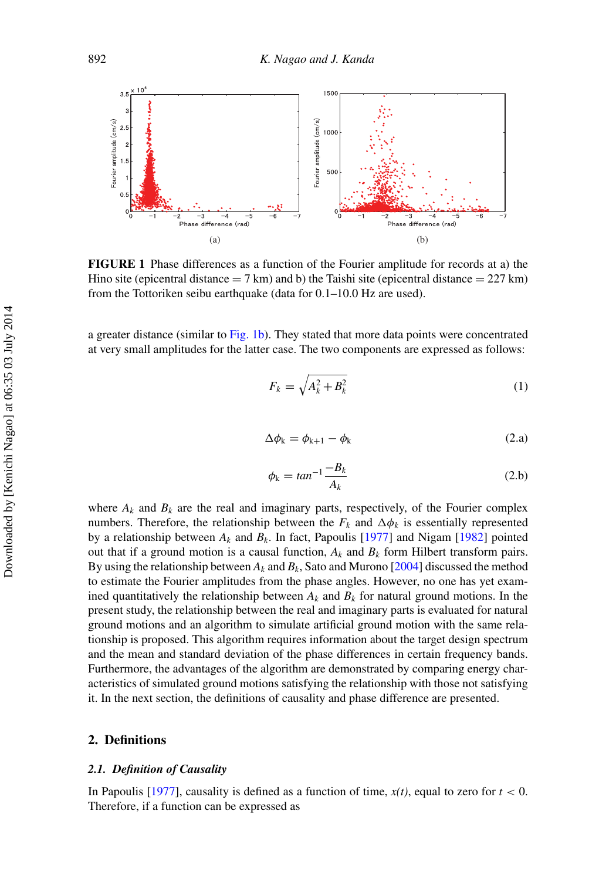<span id="page-2-0"></span>

**FIGURE 1** Phase differences as a function of the Fourier amplitude for records at a) the Hino site (epicentral distance  $= 7 \text{ km}$ ) and b) the Taishi site (epicentral distance  $= 227 \text{ km}$ ) from the Tottoriken seibu earthquake (data for 0.1–10.0 Hz are used).

a greater distance (similar to [Fig. 1b\)](#page-2-0). They stated that more data points were concentrated at very small amplitudes for the latter case. The two components are expressed as follows:

$$
F_k = \sqrt{A_k^2 + B_k^2} \tag{1}
$$

$$
\Delta \phi_k = \phi_{k+1} - \phi_k \tag{2.a}
$$

$$
\phi_k = \tan^{-1} \frac{-B_k}{A_k} \tag{2.b}
$$

where  $A_k$  and  $B_k$  are the real and imaginary parts, respectively, of the Fourier complex numbers. Therefore, the relationship between the  $F_k$  and  $\Delta \phi_k$  is essentially represented by a relationship between  $A_k$  and  $B_k$ . In fact, Papoulis [\[1977\]](#page-17-5) and Nigam [\[1982\]](#page-17-6) pointed out that if a ground motion is a causal function,  $A_k$  and  $B_k$  form Hilbert transform pairs. By using the relationship between *Ak* and *Bk*, Sato and Murono [\[2004\]](#page-17-7) discussed the method to estimate the Fourier amplitudes from the phase angles. However, no one has yet examined quantitatively the relationship between  $A_k$  and  $B_k$  for natural ground motions. In the present study, the relationship between the real and imaginary parts is evaluated for natural ground motions and an algorithm to simulate artificial ground motion with the same relationship is proposed. This algorithm requires information about the target design spectrum and the mean and standard deviation of the phase differences in certain frequency bands. Furthermore, the advantages of the algorithm are demonstrated by comparing energy characteristics of simulated ground motions satisfying the relationship with those not satisfying it. In the next section, the definitions of causality and phase difference are presented.

#### **2. Definitions**

#### *2.1. Definition of Causality*

In Papoulis [\[1977\]](#page-17-5), causality is defined as a function of time,  $x(t)$ , equal to zero for  $t < 0$ . Therefore, if a function can be expressed as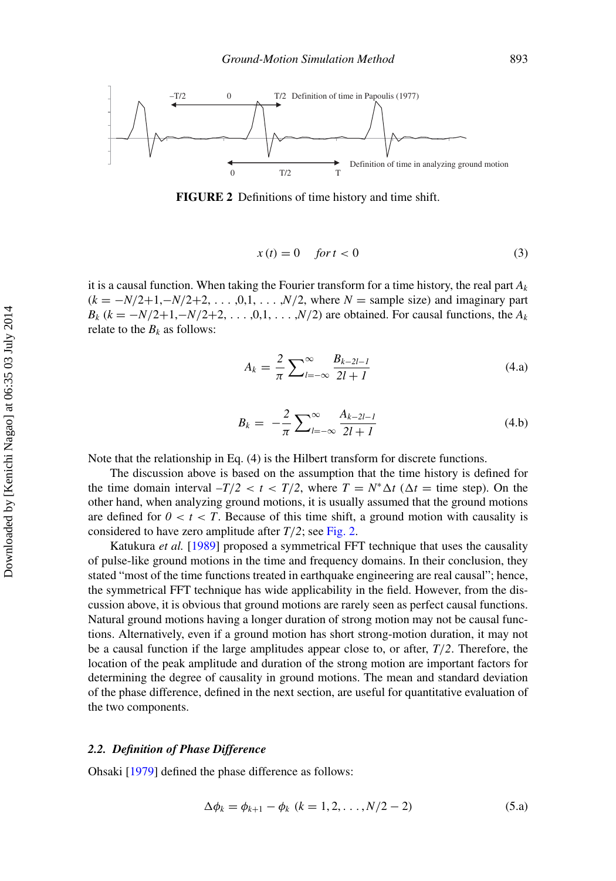<span id="page-3-0"></span>

**FIGURE 2** Definitions of time history and time shift.

$$
x(t) = 0 \quad \text{for } t < 0 \tag{3}
$$

it is a causal function. When taking the Fourier transform for a time history, the real part  $A_k$  $(k = -N/2+1, -N/2+2, \ldots, 0, 1, \ldots, N/2$ , where  $N =$  sample size) and imaginary part  $B_k$  ( $k = -N/2+1, -N/2+2, \ldots, 0, 1, \ldots, N/2$ ) are obtained. For causal functions, the  $A_k$ relate to the  $B_k$  as follows:

$$
A_k = \frac{2}{\pi} \sum_{l=-\infty}^{\infty} \frac{B_{k-2l-l}}{2l+l}
$$
(4.a)

$$
B_k = -\frac{2}{\pi} \sum_{l=-\infty}^{\infty} \frac{A_{k-2l-l}}{2l+l}
$$
(4.b)

Note that the relationship in Eq. (4) is the Hilbert transform for discrete functions.

The discussion above is based on the assumption that the time history is defined for the time domain interval  $-T/2 < t < T/2$ , where  $T = N^* \Delta t$  ( $\Delta t =$  time step). On the other hand, when analyzing ground motions, it is usually assumed that the ground motions are defined for  $0 < t < T$ . Because of this time shift, a ground motion with causality is considered to have zero amplitude after  $T/2$ ; see [Fig. 2.](#page-3-0)

Katukura *et al.* [\[1989\]](#page-17-8) proposed a symmetrical FFT technique that uses the causality of pulse-like ground motions in the time and frequency domains. In their conclusion, they stated "most of the time functions treated in earthquake engineering are real causal"; hence, the symmetrical FFT technique has wide applicability in the field. However, from the discussion above, it is obvious that ground motions are rarely seen as perfect causal functions. Natural ground motions having a longer duration of strong motion may not be causal functions. Alternatively, even if a ground motion has short strong-motion duration, it may not be a causal function if the large amplitudes appear close to, or after, *T*/*2*. Therefore, the location of the peak amplitude and duration of the strong motion are important factors for determining the degree of causality in ground motions. The mean and standard deviation of the phase difference, defined in the next section, are useful for quantitative evaluation of the two components.

#### *2.2. Definition of Phase Difference*

Ohsaki [\[1979\]](#page-17-9) defined the phase difference as follows:

$$
\Delta \phi_k = \phi_{k+1} - \phi_k \ (k = 1, 2, \dots, N/2 - 2) \tag{5. a}
$$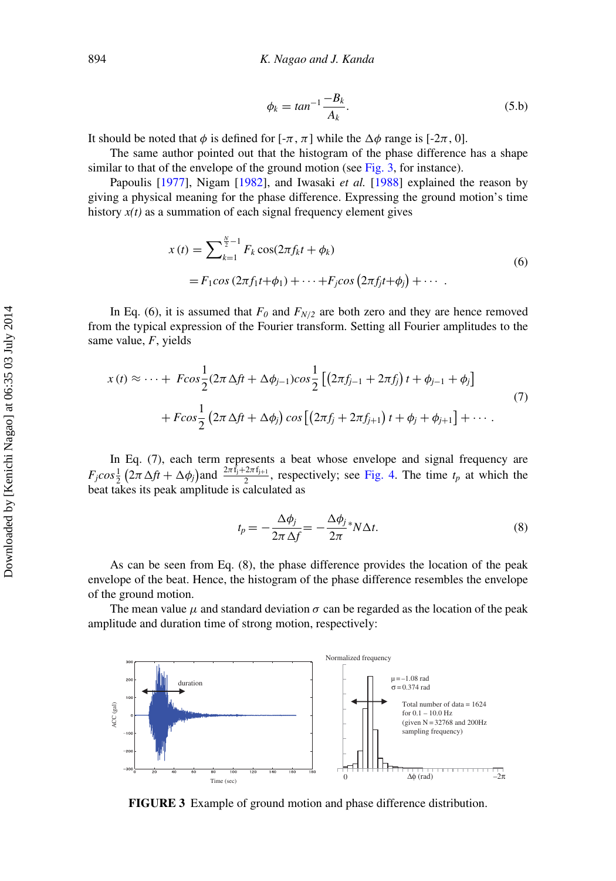$$
\phi_k = \tan^{-1} \frac{-B_k}{A_k}.\tag{5.b}
$$

It should be noted that  $\phi$  is defined for  $[-\pi, \pi]$  while the  $\Delta \phi$  range is  $[-2\pi, 0]$ .

The same author pointed out that the histogram of the phase difference has a shape similar to that of the envelope of the ground motion (see [Fig. 3,](#page-4-0) for instance).

Papoulis [\[1977\]](#page-17-5), Nigam [\[1982\]](#page-17-6), and Iwasaki *et al.* [\[1988\]](#page-17-10) explained the reason by giving a physical meaning for the phase difference. Expressing the ground motion's time history  $x(t)$  as a summation of each signal frequency element gives

$$
x(t) = \sum_{k=1}^{\frac{N}{2}-1} F_k \cos(2\pi f_k t + \phi_k)
$$
  
=  $F_1 \cos(2\pi f_1 t + \phi_1) + \dots + F_j \cos(2\pi f_j t + \phi_j) + \dots$  (6)

In Eq. (6), it is assumed that  $F_0$  and  $F_{N/2}$  are both zero and they are hence removed from the typical expression of the Fourier transform. Setting all Fourier amplitudes to the same value, *F*, yields

$$
x(t) \approx \dots + F\cos\frac{1}{2}(2\pi \Delta ft + \Delta\phi_{j-1})\cos\frac{1}{2} \left[ \left(2\pi f_{j-1} + 2\pi f_j\right)t + \phi_{j-1} + \phi_j\right] + F\cos\frac{1}{2}\left(2\pi \Delta ft + \Delta\phi_j\right)\cos\left[\left(2\pi f_j + 2\pi f_{j+1}\right)t + \phi_j + \phi_{j+1}\right] + \dots
$$
\n(7)

In Eq. (7), each term represents a beat whose envelope and signal frequency are  $F_j cos \frac{1}{2} (2\pi \Delta ft + \Delta \phi_j)$  and  $\frac{2\pi f_j + 2\pi f_{j+1}}{2}$ , respectively; see [Fig. 4.](#page-5-0) The time  $t_p$  at which the beat takes its peak amplitude is calculated as

$$
t_p = -\frac{\Delta \phi_j}{2\pi \Delta f} = -\frac{\Delta \phi_j}{2\pi} * N \Delta t.
$$
 (8)

As can be seen from Eq. (8), the phase difference provides the location of the peak envelope of the beat. Hence, the histogram of the phase difference resembles the envelope of the ground motion.

The mean value  $\mu$  and standard deviation  $\sigma$  can be regarded as the location of the peak amplitude and duration time of strong motion, respectively:

<span id="page-4-0"></span>

**FIGURE 3** Example of ground motion and phase difference distribution.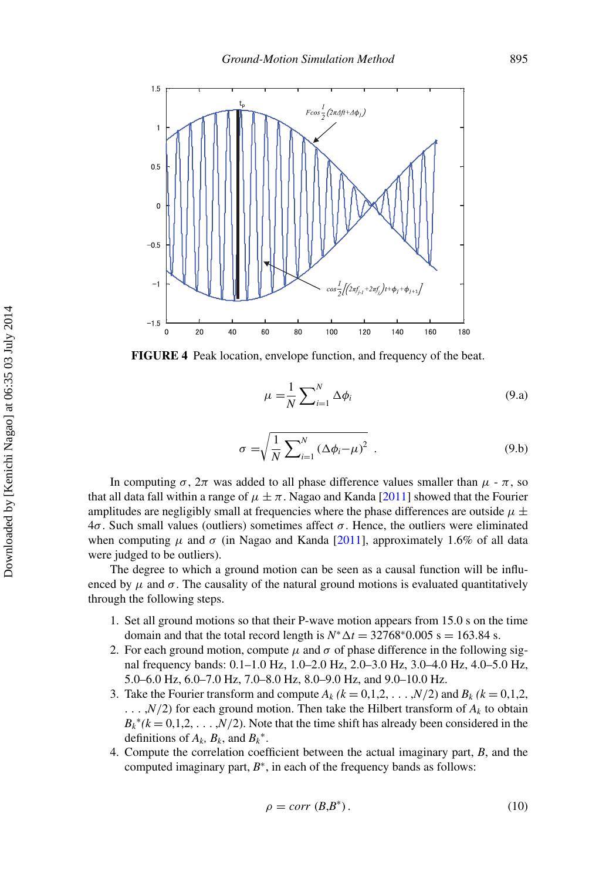<span id="page-5-0"></span>

**FIGURE 4** Peak location, envelope function, and frequency of the beat.

$$
\mu = \frac{1}{N} \sum_{i=1}^{N} \Delta \phi_i
$$
\n(9.a)

$$
\sigma = \sqrt{\frac{1}{N} \sum_{i=1}^{N} (\Delta \phi_i - \mu)^2} \tag{9.b}
$$

In computing  $\sigma$ ,  $2\pi$  was added to all phase difference values smaller than  $\mu$  -  $\pi$ , so that all data fall within a range of  $\mu \pm \pi$ . Nagao and Kanda [\[2011\]](#page-17-11) showed that the Fourier amplitudes are negligibly small at frequencies where the phase differences are outside  $\mu \pm$  $4\sigma$ . Such small values (outliers) sometimes affect  $\sigma$ . Hence, the outliers were eliminated when computing  $\mu$  and  $\sigma$  (in Nagao and Kanda [\[2011\]](#page-17-11), approximately 1.6% of all data were judged to be outliers).

The degree to which a ground motion can be seen as a causal function will be influenced by  $\mu$  and  $\sigma$ . The causality of the natural ground motions is evaluated quantitatively through the following steps.

- 1. Set all ground motions so that their P-wave motion appears from 15.0 s on the time domain and that the total record length is  $N^* \Delta t = 32768^* 0.005$  s = 163.84 s.
- 2. For each ground motion, compute  $\mu$  and  $\sigma$  of phase difference in the following signal frequency bands: 0.1–1.0 Hz, 1.0–2.0 Hz, 2.0–3.0 Hz, 3.0–4.0 Hz, 4.0–5.0 Hz, 5.0–6.0 Hz, 6.0–7.0 Hz, 7.0–8.0 Hz, 8.0–9.0 Hz, and 9.0–10.0 Hz.
- 3. Take the Fourier transform and compute  $A_k$  ( $k = 0,1,2,...,N/2$ ) and  $B_k$  ( $k = 0,1,2,$ )  $\ldots$ , $N/2$ ) for each ground motion. Then take the Hilbert transform of  $A_k$  to obtain  $B_k^*(k=0,1,2,\ldots,N/2)$ . Note that the time shift has already been considered in the definitions of  $A_k$ ,  $B_k$ , and  $B_k^*$ .
- 4. Compute the correlation coefficient between the actual imaginary part, *B*, and the computed imaginary part,  $B^*$ , in each of the frequency bands as follows:

$$
\rho = corr(B, B^*).
$$
\n(10)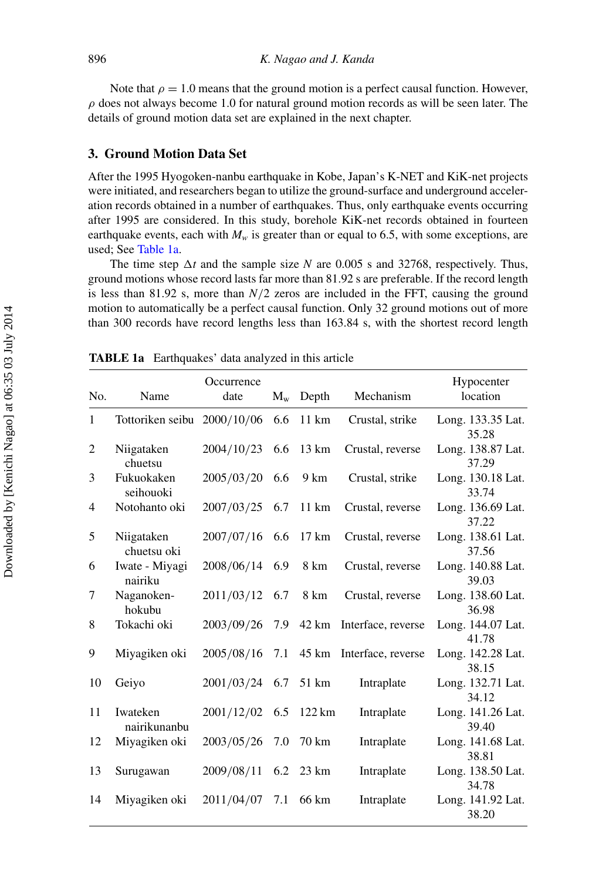Note that  $\rho = 1.0$  means that the ground motion is a perfect causal function. However,  $\rho$  does not always become 1.0 for natural ground motion records as will be seen later. The details of ground motion data set are explained in the next chapter.

#### **3. Ground Motion Data Set**

After the 1995 Hyogoken-nanbu earthquake in Kobe, Japan's K-NET and KiK-net projects were initiated, and researchers began to utilize the ground-surface and underground acceleration records obtained in a number of earthquakes. Thus, only earthquake events occurring after 1995 are considered. In this study, borehole KiK-net records obtained in fourteen earthquake events, each with  $M_w$  is greater than or equal to 6.5, with some exceptions, are used; See [Table 1a.](#page-6-0)

The time step  $\Delta t$  and the sample size *N* are 0.005 s and 32768, respectively. Thus, ground motions whose record lasts far more than 81.92 s are preferable. If the record length is less than 81.92 s, more than  $N/2$  zeros are included in the FFT, causing the ground motion to automatically be a perfect causal function. Only 32 ground motions out of more than 300 records have record lengths less than 163.84 s, with the shortest record length

<span id="page-6-0"></span>

|                |                             | Occurrence |         |                 |                          | Hypocenter                 |
|----------------|-----------------------------|------------|---------|-----------------|--------------------------|----------------------------|
| No.            | Name                        | date       | $M_{w}$ | Depth           | Mechanism                | location                   |
| $\mathbf{1}$   | Tottoriken seibu 2000/10/06 |            | 6.6     | 11 km           | Crustal, strike          | Long. 133.35 Lat.<br>35.28 |
| $\overline{c}$ | Niigataken<br>chuetsu       | 2004/10/23 | 6.6     | $13 \text{ km}$ | Crustal, reverse         | Long. 138.87 Lat.<br>37.29 |
| 3              | Fukuokaken<br>seihouoki     | 2005/03/20 | 6.6     | 9 km            | Crustal, strike          | Long. 130.18 Lat.<br>33.74 |
| 4              | Notohanto oki               | 2007/03/25 | 6.7     | $11 \text{ km}$ | Crustal, reverse         | Long. 136.69 Lat.<br>37.22 |
| 5              | Niigataken<br>chuetsu oki   | 2007/07/16 | 6.6     | $17 \text{ km}$ | Crustal, reverse         | Long. 138.61 Lat.<br>37.56 |
| 6              | Iwate - Miyagi<br>nairiku   | 2008/06/14 | 6.9     | 8 km            | Crustal, reverse         | Long. 140.88 Lat.<br>39.03 |
| 7              | Naganoken-<br>hokubu        | 2011/03/12 | 6.7     | 8 km            | Crustal, reverse         | Long. 138.60 Lat.<br>36.98 |
| 8              | Tokachi oki                 | 2003/09/26 | 7.9     | 42 km           | Interface, reverse       | Long. 144.07 Lat.<br>41.78 |
| 9              | Miyagiken oki               | 2005/08/16 | 7.1     |                 | 45 km Interface, reverse | Long. 142.28 Lat.<br>38.15 |
| 10             | Geiyo                       | 2001/03/24 | 6.7     | 51 km           | Intraplate               | Long. 132.71 Lat.<br>34.12 |
| 11             | Iwateken<br>nairikunanbu    | 2001/12/02 | 6.5     | 122 km          | Intraplate               | Long. 141.26 Lat.<br>39.40 |
| 12             | Miyagiken oki               | 2003/05/26 | 7.0     | $70 \text{ km}$ | Intraplate               | Long. 141.68 Lat.<br>38.81 |
| 13             | Surugawan                   | 2009/08/11 | 6.2     | $23 \text{ km}$ | Intraplate               | Long. 138.50 Lat.<br>34.78 |
| 14             | Miyagiken oki               | 2011/04/07 | 7.1     | 66 km           | Intraplate               | Long. 141.92 Lat.<br>38.20 |
|                |                             |            |         |                 |                          |                            |

**TABLE 1a** Earthquakes' data analyzed in this article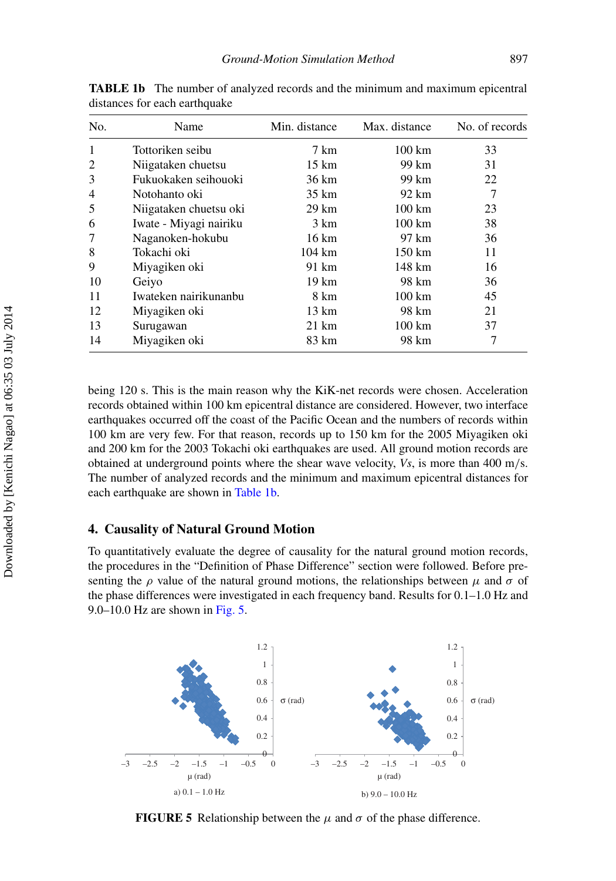<span id="page-7-1"></span>

| No.          | Name                   | Min. distance   | Max. distance     | No. of records |
|--------------|------------------------|-----------------|-------------------|----------------|
| $\mathbf{1}$ | Tottoriken seibu       | 7 km            | $100 \mathrm{km}$ | 33             |
| 2            | Niigataken chuetsu     | 15 km           | 99 km             | 31             |
| 3            | Fukuokaken seihouoki   | 36 km           | 99 km             | 22             |
| 4            | Notohanto oki          | 35 km           | 92 km             | 7              |
| 5            | Niigataken chuetsu oki | $29 \text{ km}$ | $100 \text{ km}$  | 23             |
| 6            | Iwate - Miyagi nairiku | 3 km            | $100 \text{ km}$  | 38             |
| 7            | Naganoken-hokubu       | $16 \text{ km}$ | 97 km             | 36             |
| 8            | Tokachi oki            | 104 km          | 150 km            | 11             |
| 9            | Miyagiken oki          | 91 km           | 148 km            | 16             |
| 10           | Geiyo                  | 19 km           | 98 km             | 36             |
| 11           | Iwateken nairikunanbu  | 8 km            | $100 \mathrm{km}$ | 45             |
| 12           | Miyagiken oki          | $13 \text{ km}$ | 98 km             | 21             |
| 13           | Surugawan              | 21 km           | 100 km            | 37             |
| 14           | Miyagiken oki          | 83 km           | 98 km             |                |

**TABLE 1b** The number of analyzed records and the minimum and maximum epicentral distances for each earthquake

being 120 s. This is the main reason why the KiK-net records were chosen. Acceleration records obtained within 100 km epicentral distance are considered. However, two interface earthquakes occurred off the coast of the Pacific Ocean and the numbers of records within 100 km are very few. For that reason, records up to 150 km for the 2005 Miyagiken oki and 200 km for the 2003 Tokachi oki earthquakes are used. All ground motion records are obtained at underground points where the shear wave velocity, *Vs*, is more than 400 m/s. The number of analyzed records and the minimum and maximum epicentral distances for each earthquake are shown in [Table 1b.](#page-6-0)

#### **4. Causality of Natural Ground Motion**

To quantitatively evaluate the degree of causality for the natural ground motion records, the procedures in the "Definition of Phase Difference" section were followed. Before presenting the  $\rho$  value of the natural ground motions, the relationships between  $\mu$  and  $\sigma$  of the phase differences were investigated in each frequency band. Results for 0.1–1.0 Hz and 9.0–10.0 Hz are shown in Fig.  $5$ .

<span id="page-7-0"></span>

**FIGURE 5** Relationship between the  $\mu$  and  $\sigma$  of the phase difference.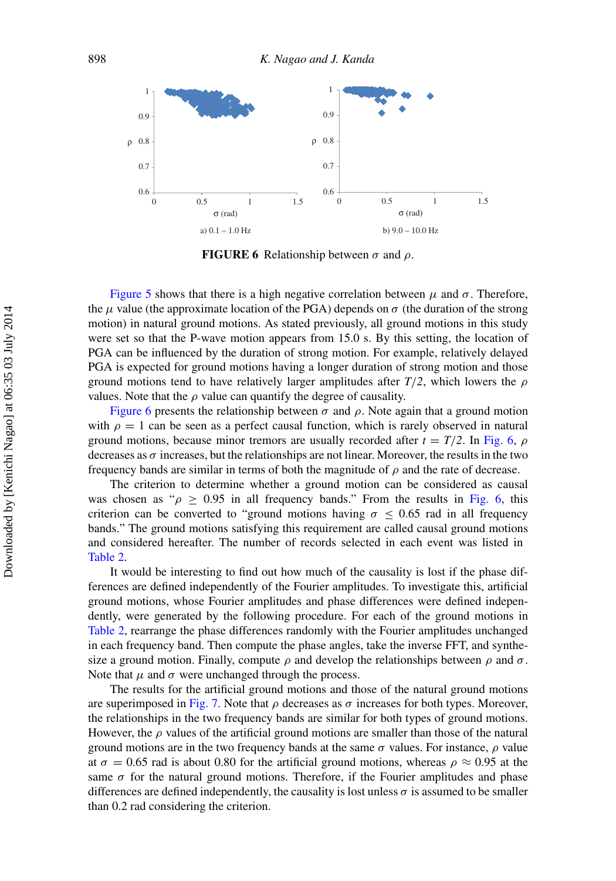<span id="page-8-0"></span>

**FIGURE 6** Relationship between  $\sigma$  and  $\rho$ .

[Figure 5](#page-7-0) shows that there is a high negative correlation between  $\mu$  and  $\sigma$ . Therefore, the  $\mu$  value (the approximate location of the PGA) depends on  $\sigma$  (the duration of the strong motion) in natural ground motions. As stated previously, all ground motions in this study were set so that the P-wave motion appears from 15.0 s. By this setting, the location of PGA can be influenced by the duration of strong motion. For example, relatively delayed PGA is expected for ground motions having a longer duration of strong motion and those ground motions tend to have relatively larger amplitudes after  $T/2$ , which lowers the  $\rho$ values. Note that the  $\rho$  value can quantify the degree of causality.

[Figure 6](#page-8-0) presents the relationship between  $\sigma$  and  $\rho$ . Note again that a ground motion with  $\rho = 1$  can be seen as a perfect causal function, which is rarely observed in natural ground motions, because minor tremors are usually recorded after  $t = T/2$ . In [Fig. 6,](#page-8-0)  $\rho$ decreases as  $\sigma$  increases, but the relationships are not linear. Moreover, the results in the two frequency bands are similar in terms of both the magnitude of  $\rho$  and the rate of decrease.

The criterion to determine whether a ground motion can be considered as causal was chosen as " $\rho \ge 0.95$  in all frequency bands." From the results in [Fig. 6,](#page-8-0) this criterion can be converted to "ground motions having  $\sigma$  < 0.65 rad in all frequency bands." The ground motions satisfying this requirement are called causal ground motions and considered hereafter. The number of records selected in each event was listed in [Table 2.](#page-7-1)

It would be interesting to find out how much of the causality is lost if the phase differences are defined independently of the Fourier amplitudes. To investigate this, artificial ground motions, whose Fourier amplitudes and phase differences were defined independently, were generated by the following procedure. For each of the ground motions in [Table 2,](#page-7-1) rearrange the phase differences randomly with the Fourier amplitudes unchanged in each frequency band. Then compute the phase angles, take the inverse FFT, and synthesize a ground motion. Finally, compute  $\rho$  and develop the relationships between  $\rho$  and  $\sigma$ . Note that  $\mu$  and  $\sigma$  were unchanged through the process.

The results for the artificial ground motions and those of the natural ground motions are superimposed in [Fig. 7.](#page-9-0) Note that  $\rho$  decreases as  $\sigma$  increases for both types. Moreover, the relationships in the two frequency bands are similar for both types of ground motions. However, the  $\rho$  values of the artificial ground motions are smaller than those of the natural ground motions are in the two frequency bands at the same  $\sigma$  values. For instance,  $\rho$  value at  $\sigma = 0.65$  rad is about 0.80 for the artificial ground motions, whereas  $\rho \approx 0.95$  at the same  $\sigma$  for the natural ground motions. Therefore, if the Fourier amplitudes and phase differences are defined independently, the causality is lost unless  $\sigma$  is assumed to be smaller than 0.2 rad considering the criterion.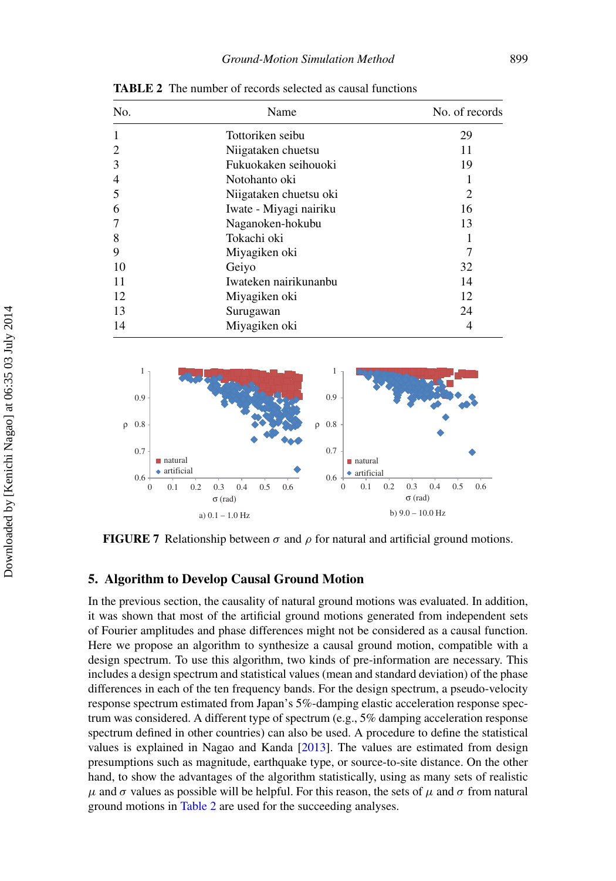| No.            | Name                   | No. of records |  |
|----------------|------------------------|----------------|--|
| 1              | Tottoriken seibu       | 29             |  |
| 2              | Niigataken chuetsu     | 11             |  |
| 3              | Fukuokaken seihouoki   | 19             |  |
| $\overline{4}$ | Notohanto oki          |                |  |
| 5              | Niigataken chuetsu oki | 2              |  |
| 6              | Iwate - Miyagi nairiku | 16             |  |
|                | Naganoken-hokubu       | 13             |  |
| 8              | Tokachi oki            | 1              |  |
| 9              | Miyagiken oki          | 7              |  |
| 10             | Geiyo                  | 32             |  |
| 11             | Iwateken nairikunanbu  | 14             |  |
| 12             | Miyagiken oki          | 12             |  |
| 13             | Surugawan              | 24             |  |
| 14             | Miyagiken oki          | 4              |  |

<span id="page-9-1"></span>**TABLE 2** The number of records selected as causal functions

<span id="page-9-0"></span>

**FIGURE 7** Relationship between  $\sigma$  and  $\rho$  for natural and artificial ground motions.

#### **5. Algorithm to Develop Causal Ground Motion**

In the previous section, the causality of natural ground motions was evaluated. In addition, it was shown that most of the artificial ground motions generated from independent sets of Fourier amplitudes and phase differences might not be considered as a causal function. Here we propose an algorithm to synthesize a causal ground motion, compatible with a design spectrum. To use this algorithm, two kinds of pre-information are necessary. This includes a design spectrum and statistical values (mean and standard deviation) of the phase differences in each of the ten frequency bands. For the design spectrum, a pseudo-velocity response spectrum estimated from Japan's 5%-damping elastic acceleration response spectrum was considered. A different type of spectrum (e.g., 5% damping acceleration response spectrum defined in other countries) can also be used. A procedure to define the statistical values is explained in Nagao and Kanda [\[2013\]](#page-17-12). The values are estimated from design presumptions such as magnitude, earthquake type, or source-to-site distance. On the other hand, to show the advantages of the algorithm statistically, using as many sets of realistic  $\mu$  and  $\sigma$  values as possible will be helpful. For this reason, the sets of  $\mu$  and  $\sigma$  from natural ground motions in [Table 2](#page-7-1) are used for the succeeding analyses.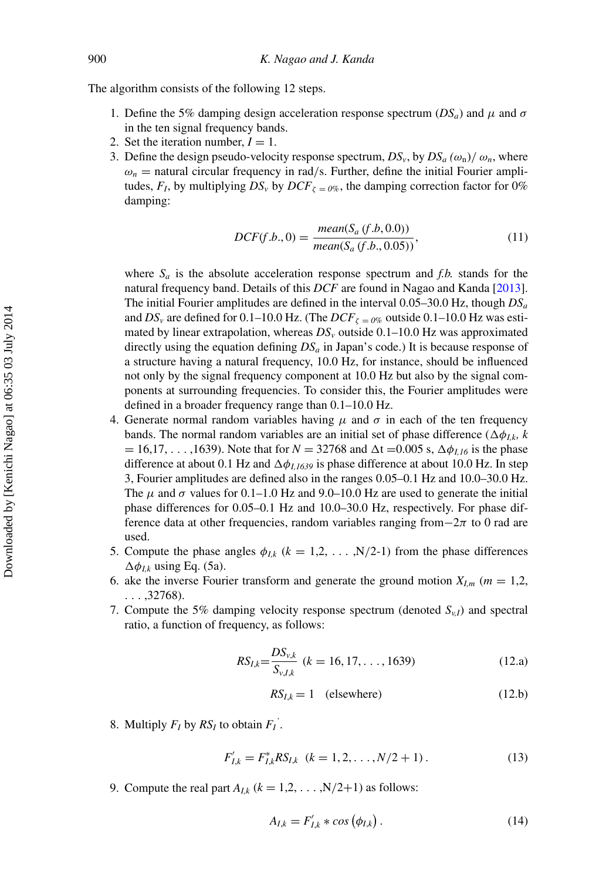The algorithm consists of the following 12 steps.

- 1. Define the 5% damping design acceleration response spectrum  $(DS_a)$  and  $\mu$  and  $\sigma$ in the ten signal frequency bands.
- 2. Set the iteration number,  $I = 1$ .
- 3. Define the design pseudo-velocity response spectrum,  $DS_v$ , by  $DS_a(\omega_n)/\omega_n$ , where  $\omega_n$  = natural circular frequency in rad/s. Further, define the initial Fourier amplitudes,  $F_I$ , by multiplying  $DS_v$  by  $DCF_{\zeta = 0\%}$ , the damping correction factor for 0% damping:

$$
DCF(f.b., 0) = \frac{mean(S_a(f.b, 0.0))}{mean(S_a(f.b., 0.05))},
$$
\n(11)

where  $S_a$  is the absolute acceleration response spectrum and *f.b.* stands for the natural frequency band. Details of this *DCF* are found in Nagao and Kanda [\[2013\]](#page-17-12). The initial Fourier amplitudes are defined in the interval 0.05–30.0 Hz, though *DSa* and  $DS_v$  are defined for 0.1–10.0 Hz. (The  $DCF_{\zeta = 0\%}$  outside 0.1–10.0 Hz was estimated by linear extrapolation, whereas  $DS<sub>v</sub>$  outside  $0.1-10.0$  Hz was approximated directly using the equation defining  $DS_a$  in Japan's code.) It is because response of a structure having a natural frequency, 10.0 Hz, for instance, should be influenced not only by the signal frequency component at 10.0 Hz but also by the signal components at surrounding frequencies. To consider this, the Fourier amplitudes were defined in a broader frequency range than 0.1–10.0 Hz.

- 4. Generate normal random variables having  $\mu$  and  $\sigma$  in each of the ten frequency bands. The normal random variables are an initial set of phase difference  $(\Delta \phi_{I,k}, k)$  $= 16,17,..., 1639$ ). Note that for  $N = 32768$  and  $\Delta t = 0.005$  s,  $\Delta \phi_{I,16}$  is the phase difference at about 0.1 Hz and  $\Delta\phi_{I,1639}$  is phase difference at about 10.0 Hz. In step 3, Fourier amplitudes are defined also in the ranges 0.05–0.1 Hz and 10.0–30.0 Hz. The  $\mu$  and  $\sigma$  values for 0.1–1.0 Hz and 9.0–10.0 Hz are used to generate the initial phase differences for 0.05–0.1 Hz and 10.0–30.0 Hz, respectively. For phase difference data at other frequencies, random variables ranging from $-2\pi$  to 0 rad are used.
- 5. Compute the phase angles  $\phi_{I,k}$  ( $k = 1,2, \ldots, N/2-1$ ) from the phase differences  $\Delta \phi_{I,k}$  using Eq. (5a).
- 6. ake the inverse Fourier transform and generate the ground motion  $X_{l,m}$  ( $m = 1,2,$ ) ... ,32768).
- 7. Compute the 5% damping velocity response spectrum (denoted  $S_{v,l}$ ) and spectral ratio, a function of frequency, as follows:

$$
RS_{I,k} = \frac{DS_{v,k}}{S_{v,I,k}} \ (k = 16, 17, \dots, 1639)
$$
 (12.a)

$$
RS_{I,k} = 1 \quad \text{(elsewhere)} \tag{12.b}
$$

8. Multiply  $F_I$  by  $RS_I$  to obtain  $F_I$ <sup>'</sup>.

$$
F'_{I,k} = F^*_{I,k} R S_{I,k} \quad (k = 1, 2, \dots, N/2 + 1) \,. \tag{13}
$$

9. Compute the real part  $A_{I,k}$  ( $k = 1,2,...,N/2+1$ ) as follows:

$$
A_{I,k} = F'_{I,k} * \cos\left(\phi_{I,k}\right). \tag{14}
$$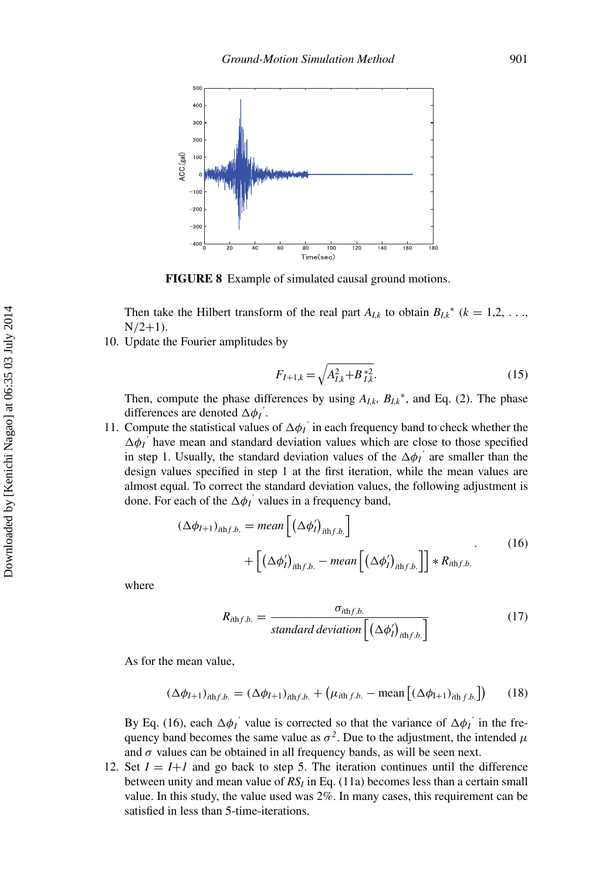<span id="page-11-0"></span>

**FIGURE 8** Example of simulated causal ground motions.

Then take the Hilbert transform of the real part  $A_{I,k}$  to obtain  $B_{I,k}^*$  ( $k = 1,2, \ldots$ )  $N/2+1$ ).

10. Update the Fourier amplitudes by

$$
F_{I+1,k} = \sqrt{A_{I,k}^2 + B_{I,k}^{*2}}.\tag{15}
$$

Then, compute the phase differences by using  $A_{I,k}$ ,  $B_{I,k}^*$ , and Eq. (2). The phase differences are denoted  $\Delta \phi_I$ <sup>'</sup>.

11. Compute the statistical values of  $\Delta \phi_I$ <sup>'</sup> in each frequency band to check whether the  $\Delta \phi_I$ <sup>'</sup> have mean and standard deviation values which are close to those specified in step 1. Usually, the standard deviation values of the  $\Delta\phi$ <sup>*'*</sup> are smaller than the design values specified in step 1 at the first iteration, while the mean values are almost equal. To correct the standard deviation values, the following adjustment is done. For each of the  $\Delta \phi_I$ <sup>'</sup> values in a frequency band,

$$
(\Delta \phi_{I+1})_{i\text{th}f.b.} = mean \left[ (\Delta \phi'_I)_{i\text{th}f.b.} \right] + \left[ (\Delta \phi'_I)_{i\text{th}f.b.} - mean \left[ (\Delta \phi'_I)_{i\text{th}f.b.} \right] \right] * R_{i\text{th}f.b.}
$$
\n(16)

where

$$
R_{i\text{th }f.b.} = \frac{\sigma_{i\text{th }f.b.}}{\text{standard deviation}\left[\left(\Delta\phi'_i\right)_{i\text{th }f.b.}\right]}
$$
(17)

As for the mean value,

$$
(\Delta \phi_{I+1})_{ithf.b.} = (\Delta \phi_{I+1})_{ithf.b.} + (\mu_{ithf.b.} - \text{mean} \left[ (\Delta \phi_{I+1})_{ithf.b.} \right]) \tag{18}
$$

By Eq. (16), each  $\Delta \phi_I$ <sup>'</sup> value is corrected so that the variance of  $\Delta \phi_I$ <sup>'</sup> in the frequency band becomes the same value as  $\sigma^2$ . Due to the adjustment, the intended  $\mu$ and  $\sigma$  values can be obtained in all frequency bands, as will be seen next.

12. Set  $I = I + I$  and go back to step 5. The iteration continues until the difference between unity and mean value of  $RS_I$  in Eq. (11a) becomes less than a certain small value. In this study, the value used was 2%. In many cases, this requirement can be satisfied in less than 5-time-iterations.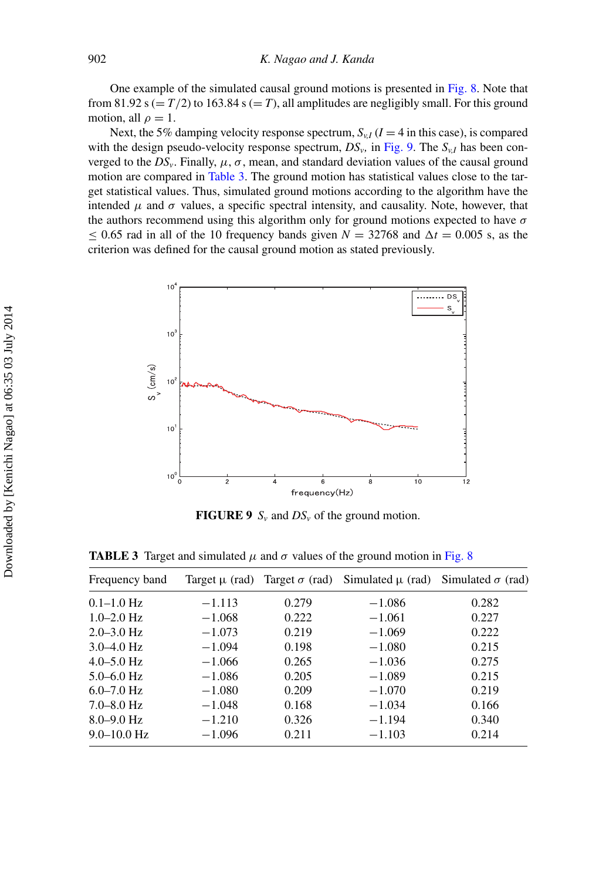One example of the simulated causal ground motions is presented in [Fig. 8.](#page-11-0) Note that from 81.92 s ( $= T/2$ ) to 163.84 s ( $= T$ ), all amplitudes are negligibly small. For this ground motion, all  $\rho = 1$ .

Next, the 5% damping velocity response spectrum,  $S_{v,I}$  ( $I = 4$  in this case), is compared with the design pseudo-velocity response spectrum,  $DS_{\nu}$ , in [Fig. 9.](#page-12-0) The  $S_{\nu}$  has been converged to the  $DS_\nu$ . Finally,  $\mu$ ,  $\sigma$ , mean, and standard deviation values of the causal ground motion are compared in [Table 3.](#page-9-1) The ground motion has statistical values close to the target statistical values. Thus, simulated ground motions according to the algorithm have the intended  $\mu$  and  $\sigma$  values, a specific spectral intensity, and causality. Note, however, that the authors recommend using this algorithm only for ground motions expected to have  $\sigma$  $\leq$  0.65 rad in all of the 10 frequency bands given *N* = 32768 and  $\Delta t$  = 0.005 s, as the criterion was defined for the causal ground motion as stated previously.

<span id="page-12-0"></span>

<span id="page-12-1"></span>**FIGURE 9**  $S_v$  and  $DS_v$  of the ground motion.

**TABLE 3** Target and simulated  $\mu$  and  $\sigma$  values of the ground motion in [Fig. 8](#page-11-0)

| Frequency band  |          |       | Target $\mu$ (rad) Target $\sigma$ (rad) Simulated $\mu$ (rad) Simulated $\sigma$ (rad) |       |
|-----------------|----------|-------|-----------------------------------------------------------------------------------------|-------|
| $0.1 - 1.0$ Hz  | $-1.113$ | 0.279 | $-1.086$                                                                                | 0.282 |
| $1.0 - 2.0$ Hz  | $-1.068$ | 0.222 | $-1.061$                                                                                | 0.227 |
| $2.0 - 3.0$ Hz  | $-1.073$ | 0.219 | $-1.069$                                                                                | 0.222 |
| $3.0 - 4.0$ Hz  | $-1.094$ | 0.198 | $-1.080$                                                                                | 0.215 |
| $4.0 - 5.0$ Hz  | $-1.066$ | 0.265 | $-1.036$                                                                                | 0.275 |
| $5.0 - 6.0$ Hz  | $-1.086$ | 0.205 | $-1.089$                                                                                | 0.215 |
| $6.0 - 7.0$ Hz  | $-1.080$ | 0.209 | $-1.070$                                                                                | 0.219 |
| $7.0 - 8.0$ Hz  | $-1.048$ | 0.168 | $-1.034$                                                                                | 0.166 |
| $8.0 - 9.0$ Hz  | $-1.210$ | 0.326 | $-1.194$                                                                                | 0.340 |
| $9.0 - 10.0$ Hz | $-1.096$ | 0.211 | $-1.103$                                                                                | 0.214 |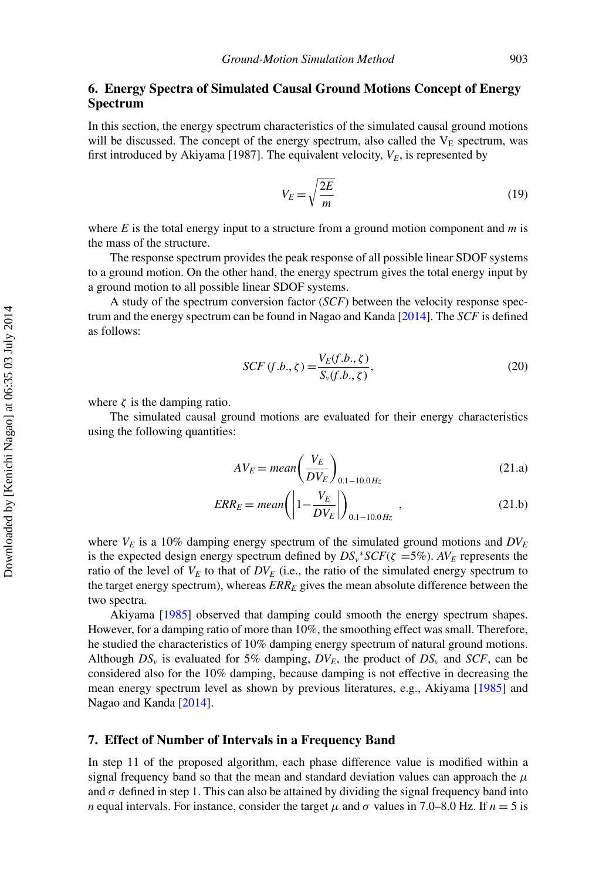#### **6. Energy Spectra of Simulated Causal Ground Motions Concept of Energy Spectrum**

In this section, the energy spectrum characteristics of the simulated causal ground motions will be discussed. The concept of the energy spectrum, also called the  $V<sub>E</sub>$  spectrum, was first introduced by Akiyama [1987]. The equivalent velocity,  $V_E$ , is represented by

$$
V_E = \sqrt{\frac{2E}{m}}\tag{19}
$$

where *E* is the total energy input to a structure from a ground motion component and *m* is the mass of the structure.

The response spectrum provides the peak response of all possible linear SDOF systems to a ground motion. On the other hand, the energy spectrum gives the total energy input by a ground motion to all possible linear SDOF systems.

A study of the spectrum conversion factor (*SCF*) between the velocity response spectrum and the energy spectrum can be found in Nagao and Kanda [\[2014\]](#page-17-13). The *SCF* is defined as follows:

$$
SCF(f.b., \zeta) = \frac{V_E(f.b., \zeta)}{S_v(f.b., \zeta)},
$$
\n(20)

where  $\zeta$  is the damping ratio.

The simulated causal ground motions are evaluated for their energy characteristics using the following quantities:

$$
AV_E = mean\left(\frac{V_E}{DV_E}\right)_{0.1-10.0\,Hz}
$$
\n(21. a)

$$
ERR_E = mean \left( \left| 1 - \frac{V_E}{DV_E} \right| \right)_{0.1 - 10.0 \, Hz}, \tag{21.b}
$$

where  $V_E$  is a 10% damping energy spectrum of the simulated ground motions and  $DV_E$ is the expected design energy spectrum defined by  $DS_v$ <sup>\*</sup> $SCF(\zeta = 5\%)$ . *AV<sub>E</sub>* represents the ratio of the level of  $V_E$  to that of  $DV_E$  (i.e., the ratio of the simulated energy spectrum to the target energy spectrum), whereas  $ERR_E$  gives the mean absolute difference between the two spectra.

Akiyama [\[1985\]](#page-17-14) observed that damping could smooth the energy spectrum shapes. However, for a damping ratio of more than 10%, the smoothing effect was small. Therefore, he studied the characteristics of 10% damping energy spectrum of natural ground motions. Although  $DS_v$  is evaluated for 5% damping,  $DV_E$ , the product of  $DS_v$  and  $SCF$ , can be considered also for the 10% damping, because damping is not effective in decreasing the mean energy spectrum level as shown by previous literatures, e.g., Akiyama [\[1985\]](#page-17-14) and Nagao and Kanda [\[2014\]](#page-17-13).

#### **7. Effect of Number of Intervals in a Frequency Band**

In step 11 of the proposed algorithm, each phase difference value is modified within a signal frequency band so that the mean and standard deviation values can approach the  $\mu$ and  $\sigma$  defined in step 1. This can also be attained by dividing the signal frequency band into *n* equal intervals. For instance, consider the target  $\mu$  and  $\sigma$  values in 7.0–8.0 Hz. If  $n = 5$  is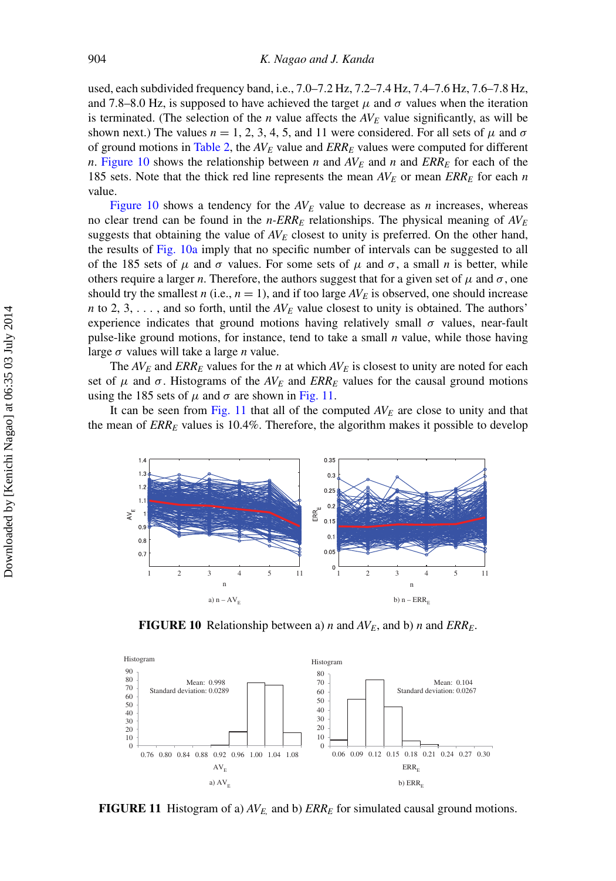used, each subdivided frequency band, i.e., 7.0–7.2 Hz, 7.2–7.4 Hz, 7.4–7.6 Hz, 7.6–7.8 Hz, and 7.8–8.0 Hz, is supposed to have achieved the target  $\mu$  and  $\sigma$  values when the iteration is terminated. (The selection of the *n* value affects the  $AV_E$  value significantly, as will be shown next.) The values  $n = 1, 2, 3, 4, 5$ , and 11 were considered. For all sets of  $\mu$  and  $\sigma$ of ground motions in [Table 2,](#page-7-1) the *AVE* value and *ERRE* values were computed for different *n*. [Figure 10](#page-14-0) shows the relationship between *n* and  $AV_E$  and *n* and  $ERR_E$  for each of the 185 sets. Note that the thick red line represents the mean *AVE* or mean *ERRE* for each *n* value.

[Figure 10](#page-14-0) shows a tendency for the  $AV<sub>E</sub>$  value to decrease as *n* increases, whereas no clear trend can be found in the  $n$ - $ERR_E$  relationships. The physical meaning of  $AV_E$ suggests that obtaining the value of  $AV_E$  closest to unity is preferred. On the other hand, the results of [Fig. 10a](#page-14-0) imply that no specific number of intervals can be suggested to all of the 185 sets of  $\mu$  and  $\sigma$  values. For some sets of  $\mu$  and  $\sigma$ , a small *n* is better, while others require a larger *n*. Therefore, the authors suggest that for a given set of  $\mu$  and  $\sigma$ , one should try the smallest *n* (i.e.,  $n = 1$ ), and if too large  $AV_E$  is observed, one should increase *n* to 2, 3, ..., and so forth, until the  $AV_E$  value closest to unity is obtained. The authors' experience indicates that ground motions having relatively small  $\sigma$  values, near-fault pulse-like ground motions, for instance, tend to take a small *n* value, while those having large σ values will take a large *n* value.

The  $AV_E$  and  $ERR_E$  values for the *n* at which  $AV_E$  is closest to unity are noted for each set of  $\mu$  and  $\sigma$ . Histograms of the  $AV_E$  and  $ERR_E$  values for the causal ground motions using the 185 sets of  $\mu$  and  $\sigma$  are shown in [Fig. 11.](#page-14-1)

It can be seen from [Fig. 11](#page-14-1) that all of the computed  $AV_E$  are close to unity and that the mean of *ERRE* values is 10.4%. Therefore, the algorithm makes it possible to develop

<span id="page-14-0"></span>

**FIGURE 10** Relationship between a) *n* and  $AV_E$ , and b) *n* and  $ERR_E$ .

<span id="page-14-1"></span>

**FIGURE 11** Histogram of a)  $AV_E$  and b)  $ERR_E$  for simulated causal ground motions.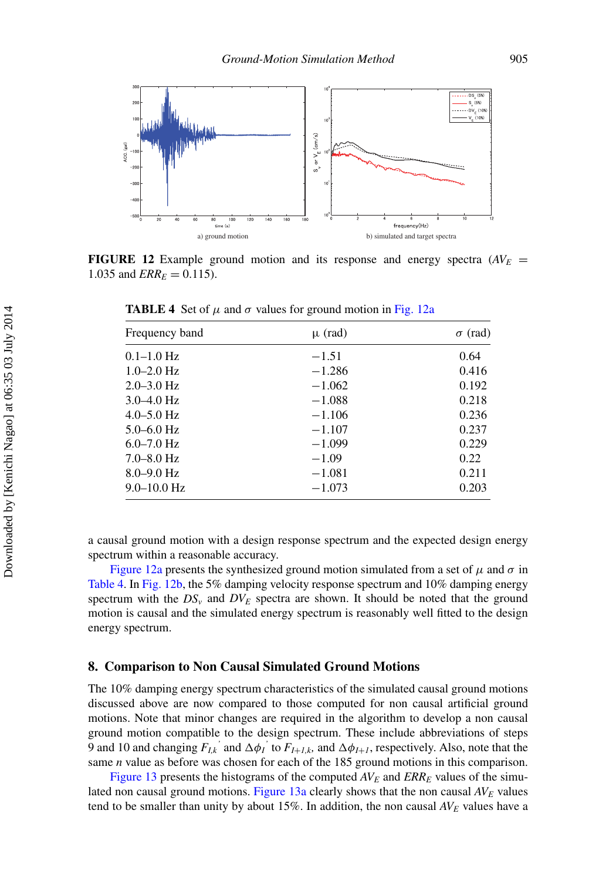<span id="page-15-0"></span>

**FIGURE 12** Example ground motion and its response and energy spectra  $(AV_E =$ 1.035 and  $ERR_E = 0.115$ ).

| Frequency band  | $\mu$ (rad) | $\sigma$ (rad) |
|-----------------|-------------|----------------|
| $0.1 - 1.0$ Hz  | $-1.51$     | 0.64           |
| $1.0 - 2.0$ Hz  | $-1.286$    | 0.416          |
| $2.0 - 3.0$ Hz  | $-1.062$    | 0.192          |
| $3.0 - 4.0$ Hz  | $-1.088$    | 0.218          |
| $4.0 - 5.0$ Hz  | $-1.106$    | 0.236          |
| $5.0 - 6.0$ Hz  | $-1.107$    | 0.237          |
| $6.0 - 7.0$ Hz  | $-1.099$    | 0.229          |
| $7.0 - 8.0$ Hz  | $-1.09$     | 0.22           |
| $8.0 - 9.0$ Hz  | $-1.081$    | 0.211          |
| $9.0 - 10.0$ Hz | $-1.073$    | 0.203          |

**TABLE 4** Set of  $\mu$  and  $\sigma$  values for ground motion in [Fig. 12a](#page-15-0)

a causal ground motion with a design response spectrum and the expected design energy spectrum within a reasonable accuracy.

[Figure 12a](#page-15-0) presents the synthesized ground motion simulated from a set of  $\mu$  and  $\sigma$  in [Table 4.](#page-12-1) In [Fig. 12b,](#page-15-0) the 5% damping velocity response spectrum and 10% damping energy spectrum with the  $DS_v$  and  $DV_E$  spectra are shown. It should be noted that the ground motion is causal and the simulated energy spectrum is reasonably well fitted to the design energy spectrum.

#### **8. Comparison to Non Causal Simulated Ground Motions**

The 10% damping energy spectrum characteristics of the simulated causal ground motions discussed above are now compared to those computed for non causal artificial ground motions. Note that minor changes are required in the algorithm to develop a non causal ground motion compatible to the design spectrum. These include abbreviations of steps 9 and 10 and changing  $F_{I,k}$ <sup>'</sup> and  $\Delta \phi_I$ <sup>'</sup> to  $F_{I+I,k}$ , and  $\Delta \phi_{I+I}$ , respectively. Also, note that the same *n* value as before was chosen for each of the 185 ground motions in this comparison.

[Figure 13](#page-16-0) presents the histograms of the computed  $AV_E$  and  $ERR_E$  values of the simulated non causal ground motions. Figure  $13a$  clearly shows that the non causal  $AV_E$  values tend to be smaller than unity by about  $15\%$ . In addition, the non causal  $AV_E$  values have a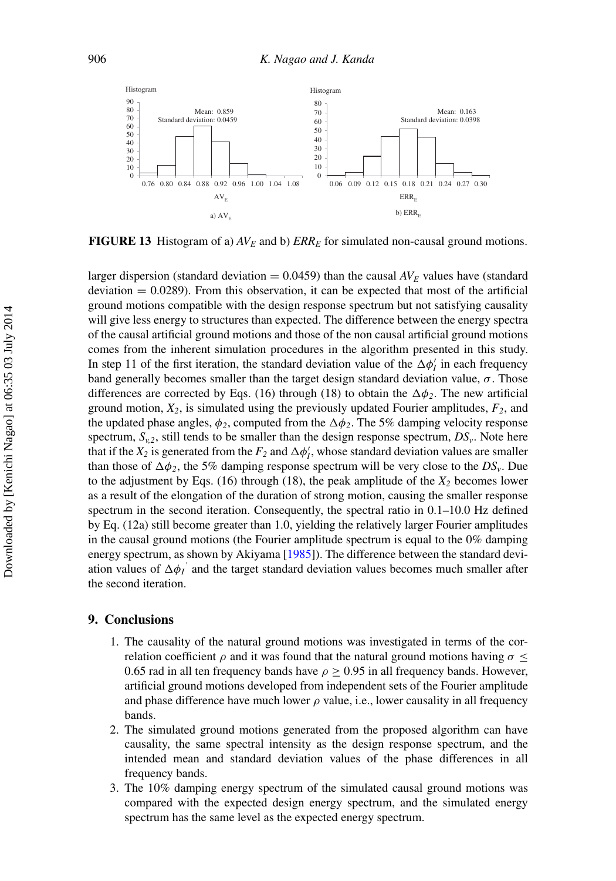<span id="page-16-0"></span>

**FIGURE 13** Histogram of a)  $AV_E$  and b)  $ERR_E$  for simulated non-causal ground motions.

larger dispersion (standard deviation  $= 0.0459$ ) than the causal  $AV_E$  values have (standard  $deviation = 0.0289$ . From this observation, it can be expected that most of the artificial ground motions compatible with the design response spectrum but not satisfying causality will give less energy to structures than expected. The difference between the energy spectra of the causal artificial ground motions and those of the non causal artificial ground motions comes from the inherent simulation procedures in the algorithm presented in this study. In step 11 of the first iteration, the standard deviation value of the  $\Delta \phi'_l$  in each frequency band generally becomes smaller than the target design standard deviation value,  $\sigma$ . Those differences are corrected by Eqs. (16) through (18) to obtain the  $\Delta \phi_2$ . The new artificial ground motion,  $X_2$ , is simulated using the previously updated Fourier amplitudes,  $F_2$ , and the updated phase angles,  $\phi_2$ , computed from the  $\Delta \phi_2$ . The 5% damping velocity response spectrum,  $S_{v,2}$ , still tends to be smaller than the design response spectrum,  $DS_v$ . Note here that if the  $X_2$  is generated from the  $F_2$  and  $\Delta \phi'_1$ , whose standard deviation values are smaller than those of  $\Delta \phi_2$ , the 5% damping response spectrum will be very close to the *DS<sub>v</sub>*. Due to the adjustment by Eqs.  $(16)$  through  $(18)$ , the peak amplitude of the  $X_2$  becomes lower as a result of the elongation of the duration of strong motion, causing the smaller response spectrum in the second iteration. Consequently, the spectral ratio in 0.1–10.0 Hz defined by Eq. (12a) still become greater than 1.0, yielding the relatively larger Fourier amplitudes in the causal ground motions (the Fourier amplitude spectrum is equal to the 0% damping energy spectrum, as shown by Akiyama [\[1985\]](#page-17-14)). The difference between the standard deviation values of  $\Delta \phi_I$ <sup>'</sup> and the target standard deviation values becomes much smaller after the second iteration.

#### **9. Conclusions**

- 1. The causality of the natural ground motions was investigated in terms of the correlation coefficient  $\rho$  and it was found that the natural ground motions having  $\sigma \leq$ 0.65 rad in all ten frequency bands have  $\rho \geq 0.95$  in all frequency bands. However, artificial ground motions developed from independent sets of the Fourier amplitude and phase difference have much lower  $\rho$  value, i.e., lower causality in all frequency bands.
- 2. The simulated ground motions generated from the proposed algorithm can have causality, the same spectral intensity as the design response spectrum, and the intended mean and standard deviation values of the phase differences in all frequency bands.
- 3. The 10% damping energy spectrum of the simulated causal ground motions was compared with the expected design energy spectrum, and the simulated energy spectrum has the same level as the expected energy spectrum.